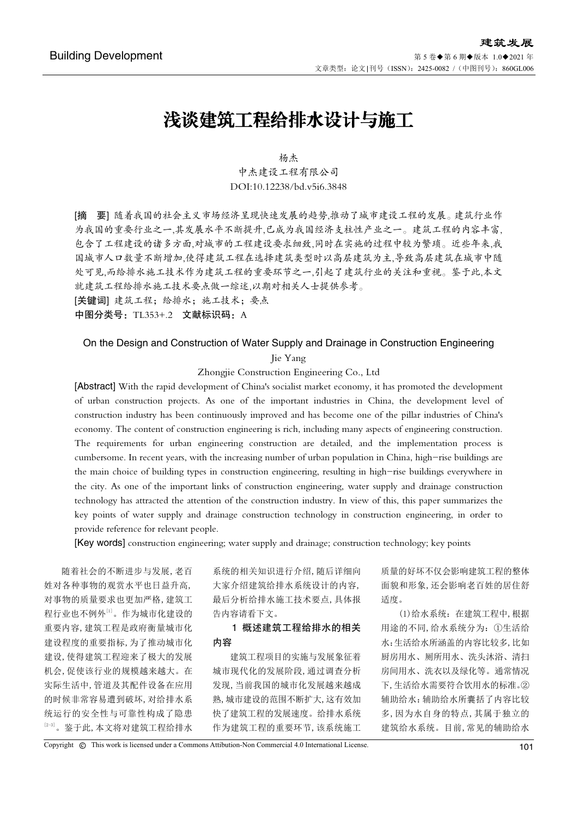# 浅谈建筑工程给排水设计与施工

# 杨杰 中杰建设工程有限公司 DOI:10.12238/bd.v5i6.3848

[摘 要] 随着我国的社会主义市场经济呈现快速发展的趋势,推动了城市建设工程的发展。建筑行业作 为我国的重要行业之一,其发展水平不断提升,已成为我国经济支柱性产业之一。建筑工程的内容丰富, 包含了工程建设的诸多方面,对城市的工程建设要求细致,同时在实施的过程中较为繁琐。近些年来,我 国城市人口数量不断增加,使得建筑工程在选择建筑类型时以高层建筑为主,导致高层建筑在城市中随 处可见,而给排水施工技术作为建筑工程的重要环节之一,引起了建筑行业的关注和重视。鉴于此,本文 就建筑工程给排水施工技术要点做一综述,以期对相关人士提供参考。

[关键词] 建筑工程;给排水;施工技术;要点

中图分类号: TL353+.2 文献标识码: A

#### On the Design and Construction of Water Supply and Drainage in Construction Engineering

Jie Yang

Zhongjie Construction Engineering Co., Ltd

[Abstract] With the rapid development of China's socialist market economy, it has promoted the development of urban construction projects. As one of the important industries in China, the development level of construction industry has been continuously improved and has become one of the pillar industries of China's economy. The content of construction engineering is rich, including many aspects of engineering construction. The requirements for urban engineering construction are detailed, and the implementation process is cumbersome. In recent years, with the increasing number of urban population in China, high-rise buildings are the main choice of building types in construction engineering, resulting in high-rise buildings everywhere in the city. As one of the important links of construction engineering, water supply and drainage construction technology has attracted the attention of the construction industry. In view of this, this paper summarizes the key points of water supply and drainage construction technology in construction engineering, in order to provide reference for relevant people.

[Key words] construction engineering; water supply and drainage; construction technology; key points

随着社会的不断进步与发展,老百 姓对各种事物的观赏水平也日益升高, 对事物的质量要求也更加严格,建筑工 程行业也不例外[1]。作为城市化建设的 重要内容,建筑工程是政府衡量城市化 建设程度的重要指标,为了推动城市化 建设,使得建筑工程迎来了极大的发展 机会,促使该行业的规模越来越大。在 实际生活中,管道及其配件设备在应用 的时候非常容易遭到破坏,对给排水系 统运行的安全性与可靠性构成了隐患 [2-3]。鉴于此,本文将对建筑工程给排水 系统的相关知识进行介绍,随后详细向 大家介绍建筑给排水系统设计的内容, 最后分析给排水施工技术要点,具体报 告内容请看下文。

## 1 概述建筑工程给排水的相关 内容

建筑工程项目的实施与发展象征着 城市现代化的发展阶段,通过调查分析 发现,当前我国的城市化发展越来越成 熟,城市建设的范围不断扩大,这有效加 快了建筑工程的发展速度。给排水系统 作为建筑工程的重要环节,该系统施工

质量的好坏不仅会影响建筑工程的整体 面貌和形象,还会影响老百姓的居住舒 适度。

(1)给水系统:在建筑工程中,根据 用途的不同,给水系统分为:①生活给 水:生活给水所涵盖的内容比较多,比如 厨房用水、厕所用水、洗头沐浴、清扫 房间用水、洗衣以及绿化等。通常情况 下,生活给水需要符合饮用水的标准。② 辅助给水:辅助给水所囊括了内容比较 多,因为水自身的特点,其属于独立的 建筑给水系统。目前,常见的辅助给水

Copyright © This work is licensed under a Commons Attibution-Non Commercial 4.0 International License. 101